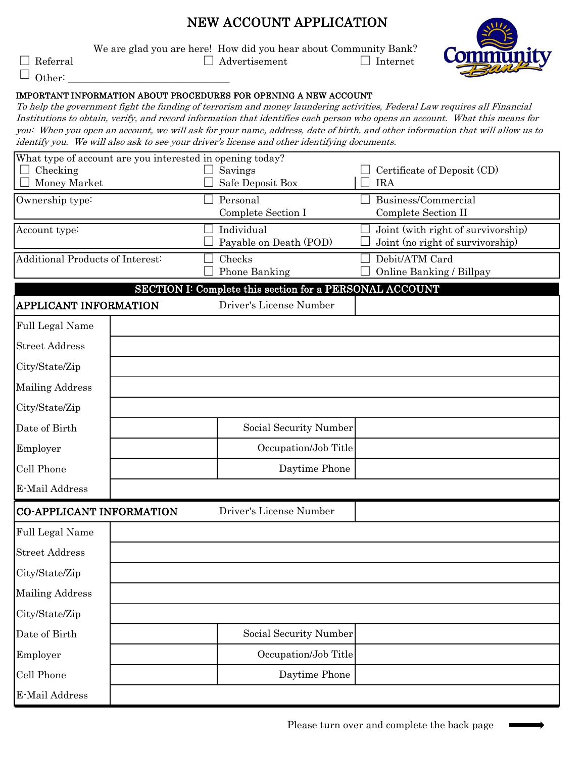# NEW ACCOUNT APPLICATION

We are glad you are here! How did you hear about Community Bank?

| $\Box$ Referral | $\Box$ Advertisement | Internet |
|-----------------|----------------------|----------|
| $\Box$ Other:   |                      |          |

### IMPORTANT INFORMATION ABOUT PROCEDURES FOR OPENING A NEW ACCOUNT

To help the government fight the funding of terrorism and money laundering activities, Federal Law requires all Financial Institutions to obtain, verify, and record information that identifies each person who opens an account. What this means for you: When you open an account, we will ask for your name, address, date of birth, and other information that will allow us to identify you. We will also ask to see your driver's license and other identifying documents.

|                                  | What type of account are you interested in opening today? |                                                                                    |                                           |
|----------------------------------|-----------------------------------------------------------|------------------------------------------------------------------------------------|-------------------------------------------|
| Checking<br>Money Market         |                                                           | Savings<br>Safe Deposit Box                                                        | Certificate of Deposit (CD)<br><b>IRA</b> |
|                                  |                                                           | Personal                                                                           | Business/Commercial                       |
| Ownership type:                  |                                                           | Complete Section I                                                                 | <b>Complete Section II</b>                |
| Account type:                    |                                                           | Individual                                                                         | Joint (with right of survivorship)        |
|                                  |                                                           | Payable on Death (POD)                                                             | Joint (no right of survivorship)          |
| Additional Products of Interest: |                                                           | Checks                                                                             | Debit/ATM Card                            |
|                                  |                                                           | Phone Banking                                                                      | Online Banking / Billpay                  |
|                                  |                                                           | SECTION I: Complete this section for a PERSONAL ACCOUNT<br>Driver's License Number |                                           |
| APPLICANT INFORMATION            |                                                           |                                                                                    |                                           |
| Full Legal Name                  |                                                           |                                                                                    |                                           |
| <b>Street Address</b>            |                                                           |                                                                                    |                                           |
| City/State/Zip                   |                                                           |                                                                                    |                                           |
| <b>Mailing Address</b>           |                                                           |                                                                                    |                                           |
| City/State/Zip                   |                                                           |                                                                                    |                                           |
| Date of Birth                    |                                                           | Social Security Number                                                             |                                           |
| Employer                         |                                                           | Occupation/Job Title                                                               |                                           |
| Cell Phone                       |                                                           | Daytime Phone                                                                      |                                           |
| E-Mail Address                   |                                                           |                                                                                    |                                           |
| CO-APPLICANT INFORMATION         |                                                           | Driver's License Number                                                            |                                           |
| Full Legal Name                  |                                                           |                                                                                    |                                           |
| <b>Street Address</b>            |                                                           |                                                                                    |                                           |
| City/State/Zip                   |                                                           |                                                                                    |                                           |
| <b>Mailing Address</b>           |                                                           |                                                                                    |                                           |
| City/State/Zip                   |                                                           |                                                                                    |                                           |
| Date of Birth                    |                                                           | Social Security Number                                                             |                                           |
| Employer                         |                                                           | Occupation/Job Title                                                               |                                           |
| Cell Phone                       |                                                           | Daytime Phone                                                                      |                                           |
| E-Mail Address                   |                                                           |                                                                                    |                                           |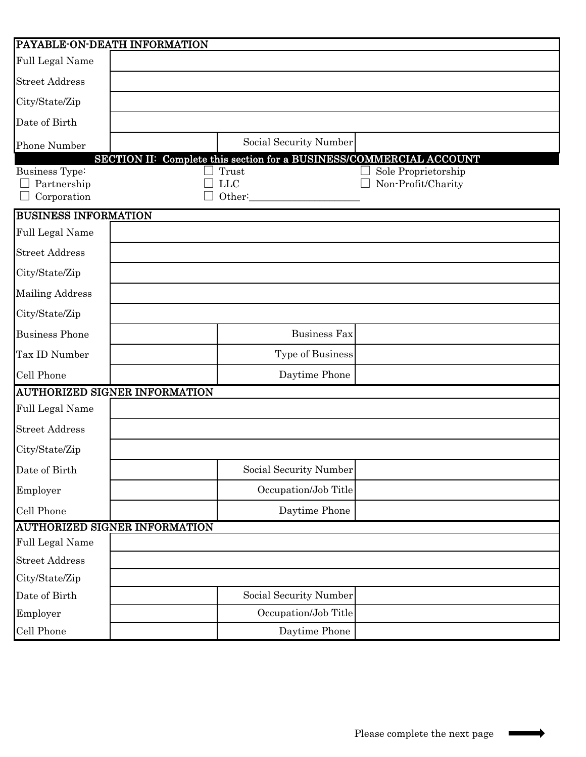| PAYABLE-ON-DEATH INFORMATION                   |                                                                     |                     |
|------------------------------------------------|---------------------------------------------------------------------|---------------------|
| Full Legal Name                                |                                                                     |                     |
| <b>Street Address</b>                          |                                                                     |                     |
| City/State/Zip                                 |                                                                     |                     |
| Date of Birth                                  |                                                                     |                     |
| Phone Number                                   | Social Security Number                                              |                     |
|                                                | SECTION II: Complete this section for a BUSINESS/COMMERCIAL ACCOUNT |                     |
| Business Type:                                 | Trust                                                               | Sole Proprietorship |
| Partnership<br>Corporation                     | <b>LLC</b><br>Other:                                                | Non-Profit/Charity  |
|                                                |                                                                     |                     |
| <b>BUSINESS INFORMATION</b><br>Full Legal Name |                                                                     |                     |
| <b>Street Address</b>                          |                                                                     |                     |
| City/State/Zip                                 |                                                                     |                     |
| <b>Mailing Address</b>                         |                                                                     |                     |
| City/State/Zip                                 |                                                                     |                     |
|                                                |                                                                     |                     |
| <b>Business Phone</b>                          | <b>Business Fax</b>                                                 |                     |
| Tax ID Number                                  | Type of Business                                                    |                     |
| Cell Phone                                     | Daytime Phone                                                       |                     |
| AUTHORIZED SIGNER INFORMATION                  |                                                                     |                     |
| Full Legal Name                                |                                                                     |                     |
| <b>Street Address</b>                          |                                                                     |                     |
| City/State/Zip                                 |                                                                     |                     |
| Date of Birth                                  | Social Security Number                                              |                     |
| Employer                                       | Occupation/Job Title                                                |                     |
| Cell Phone                                     | Daytime Phone                                                       |                     |
| AUTHORIZED SIGNER INFORMATION                  |                                                                     |                     |
| Full Legal Name                                |                                                                     |                     |
| <b>Street Address</b>                          |                                                                     |                     |
| City/State/Zip                                 |                                                                     |                     |
| Date of Birth                                  | Social Security Number                                              |                     |
| Employer                                       | Occupation/Job Title                                                |                     |
| Cell Phone                                     | Daytime Phone                                                       |                     |

 $\longrightarrow$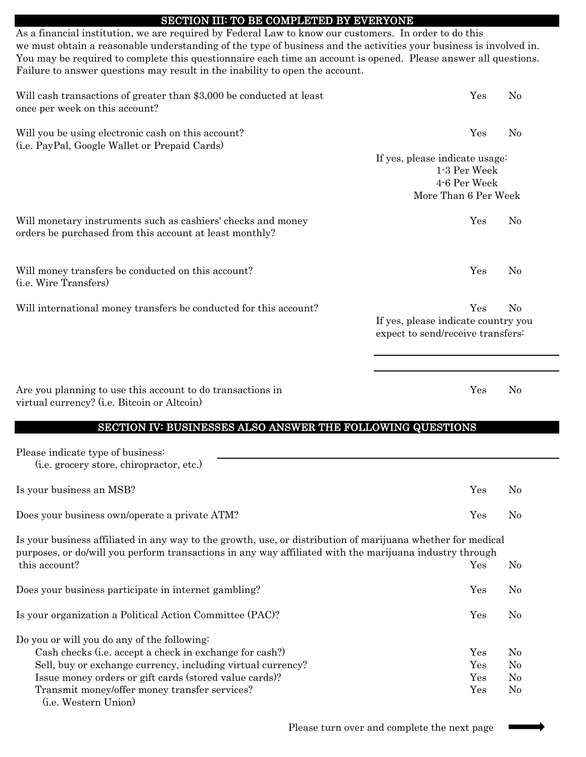### SECTION III: TO BE COMPLETED BY EVERYONE

As a financial institution, we are required by Federal Law to know our customers. In order to do this we must obtain a reasonable understanding of the type of business and the activities your business is involved in. You may be required to complete this questionnaire each time an account is opened. Please answer all questions. Failure to answer questions may result in the inability to open the account.

| Will cash transactions of greater than \$3,000 be conducted at least<br>once per week on this account?                                        | Yes                          | N <sub>0</sub> |
|-----------------------------------------------------------------------------------------------------------------------------------------------|------------------------------|----------------|
| Will you be using electronic cash on this account?<br>(i.e. PayPal, Google Wallet or Prepaid Cards)                                           | Yes                          | N <sub>0</sub> |
| If yes, please indicate usage:<br>More Than 6 Per Week                                                                                        | 1-3 Per Week<br>4-6 Per Week |                |
| Will monetary instruments such as cashiers' checks and money<br>orders be purchased from this account at least monthly?                       | Yes                          | N <sub>0</sub> |
| Will money transfers be conducted on this account?<br>( <i>i.e.</i> Wire Transfers)                                                           | Yes                          | N <sub>0</sub> |
| Will international money transfers be conducted for this account?<br>If yes, please indicate country you<br>expect to send/receive transfers: | Yes                          | N <sub>0</sub> |

Are you planning to use this account to do transactions in The Yes No virtual currency? (i.e. Bitcoin or Altcoin)

#### SECTION IV: BUSINESSES ALSO ANSWER THE FOLLOWING QUESTIONS

| Please indicate type of business:                                                                                                                                                                                      |     |                |
|------------------------------------------------------------------------------------------------------------------------------------------------------------------------------------------------------------------------|-----|----------------|
| (i.e. grocery store, chiropractor, etc.)                                                                                                                                                                               |     |                |
| Is your business an MSB?                                                                                                                                                                                               | Yes | $\rm No$       |
| Does your business own/operate a private ATM?                                                                                                                                                                          | Yes | $\rm No$       |
| Is your business affiliated in any way to the growth, use, or distribution of marijuana whether for medical<br>purposes, or do/will you perform transactions in any way affiliated with the marijuana industry through |     |                |
| this account?                                                                                                                                                                                                          | Yes | No.            |
| Does your business participate in internet gambling?                                                                                                                                                                   | Yes | $\rm No$       |
| Is your organization a Political Action Committee (PAC)?                                                                                                                                                               | Yes | No             |
| Do you or will you do any of the following:                                                                                                                                                                            |     |                |
| Cash checks (i.e. accept a check in exchange for cash?)                                                                                                                                                                | Yes | $\rm No$       |
| Sell, buy or exchange currency, including virtual currency?                                                                                                                                                            | Yes | $\rm No$       |
| Issue money orders or gift cards (stored value cards)?                                                                                                                                                                 | Yes | $\rm No$       |
| Transmit money/offer money transfer services?                                                                                                                                                                          | Yes | N <sub>0</sub> |
| ( <i>i.e.</i> Western Union)                                                                                                                                                                                           |     |                |